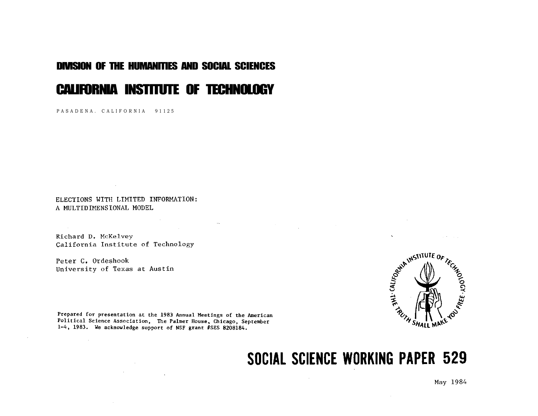# DIVISION OF THE HUMANITIES AND SOCIAL SCIENCES

# CALIFORNIA INSTITUTE OF TECHNOLOGY

PASADENA. CALIFORNIA 91125

ELECTIONS WITH LIMITED INFORMATION: A MULTIDIMENSIONAL MODEL

Richard D. McKelvey California Institute of Technology

**Contractor** 

Peter C. Ordeshook University of Texas at Austin



Prepared for presentation at the 1983 Annual Meetings of the American Political Science Association, The Palmer House, Chicago, September 1-4, 1983. We acknowledge support of NSF grant #SES 8208184.

# SOCIAL SCIENCE WORKING PAPER 529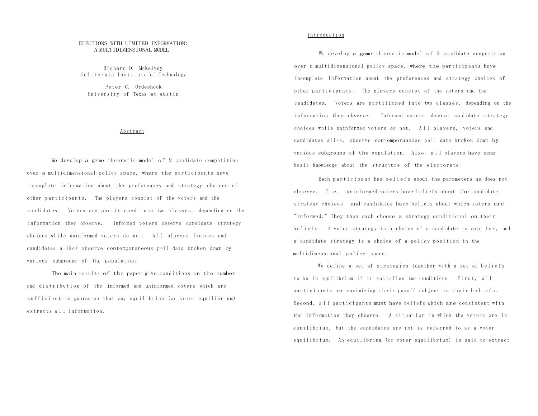#### ELECTIONS WITH LIMITED INFORMATION: A MULTIDIMENSIONAL MODEL

Richard D. McKelvey California Institute of Technology

Peter C. Ordeshook University of Texas at Austin

#### Abstract

We develop a game theoretic model of 2 candidate competition over a multidimensional policy space, where the participants have incomplete information about the preferences and strategy choices of other participants. The players consist of the voters and the candidates. Voters are partitioned into two classes, depending on the information they observe. Informed voters observe candidate strategy choices while uninformed voters do not. All players (voters and candidates alike) observe contemporaneous poll data broken down by various subgroups of the population.

The main results of the paper give conditions on the number and distribution of the informed and uninformed voters which are sufficient to guarantee that any equilibrium (or voter equilibrium) extracts all information.

### **Introduction**

We develop a game theoretic model of 2 candidate competition over a multidimensional policy space, where the participants have incomplete information about the preferences and strategy choices of other participants. The players consist of the voters and the candidates. Voters are partitioned into two classes, depending on the information they observe. Informed voters observe candidate strategy choices while uninformed voters do not. All players, voters and candidates alike, observe contemporaneous poll data broken down by various subgroups of the population. Also, all players have some basic knowledge about the structure of the electorate.

Each participant has beliefs about the parameters he does not observe. I.e. uninformed voters have beliefs abont the candidate strategy choices, and candidates have beliefs about which voters are "informed." They then each choose a strategy conditional on their beliefs. A voter strategy is a choice of a candidate to vote for, and a candidate strategy is a choice of a policy position in the multidimensional policy space.

We define a set of strategies together with a set of beliefs to be in equilibrium if it satisfies two conditions: First, all participants are maximizing their payoff subject to their beliefs. Second, all participants must have beliefs which are consistent with the information they observe. A situation in which the voters are in equilibrium, but the candidates are not is referred to as a voter equilibrium. An equilibrium (or voter equilibrium) is said to extract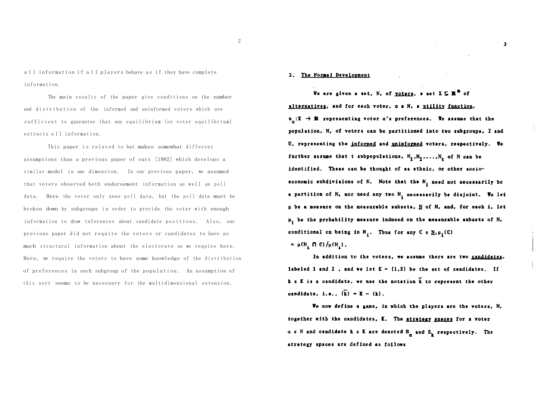all information if all players behave as if they have complete information.

The main results of the paper give conditions on the number end distribution of the informed and uninformed voters which are sufficient to guarantee that any equilibrium (or voter equilibrium) extracts all information.

This paper is related to but makes somewhat different assumptions than a previous paper of ours [1982] which develops a similar model in one dimension. In our previous paper, we assumed that voters observed both endorsement information as well as poll data. Here the voter only sees poll data, but the poll data must be broken down by subgroups in order to provide the voter with enough information to draw inferences about candidate positions. Also, our previous paper did not requite the voters or candidates to have as much structural information about the electorate as we require here. Here, we require the voters to have some knowledge of the distribution of preferences in each subgroup of the population . An assumption of this sort seems to be necessary for the multidimensional extension.

#### 2. The Formal Development

We are given a set, N, of yoters, a set  $X \subseteq \mathbb{R}^{\mathbb{R}}$  of alternatives, and for each voter, a & N. a ntility function.  $u_a: X \rightarrow \mathbb{R}$  representing voter a's preferences. We assume that the population, N, of voters can be partitioned into two subgroups, I and U, representing the informed and uninformed voters, respectively. We further assume that t subpopulations,  $N_1, N_2, \ldots, N_s$  of N can be identified. These can be thought of as ethnic, or other socioeconomic subdivisions of N. Note that the N<sub>1</sub> need not necessarily be a partition of N, nor need any two N, necessarily be disjoint. We let  $\mu$  be a measure on the measurable subsets,  $\underline{N}$  of N, and, for each i, let  $\mu_i$  be the probability measure induced on the measurable subsets of N, conditional on being in  $N_i$ . Thus for any C  $\epsilon$  N<sub>i</sub> H<sub>i</sub> (C)  $= \mu(N, \cap C)/\mu(N)$ .

 $\mathbf{3}$ 

In addition to the voters, we assume there are two candidates, labeled 1 and 2, and we let  $K = (1,2)$  be the set of candidates. If  $k$   $s$   $K$  is a candidate, we use the notation  $\overline{k}$  to represent the other candidate, i.e.,  $\{\overline{k}\} = \overline{k} - \{k\}$ .

We now define a game, in which the players are the voters, N, together with the candidates, E. The stratery spaces for a voter  $a \in N$  and candidate k  $\varepsilon$  K are denoted  $B_n$  and  $S_k$  respectively. The strategy spaces are defined as follows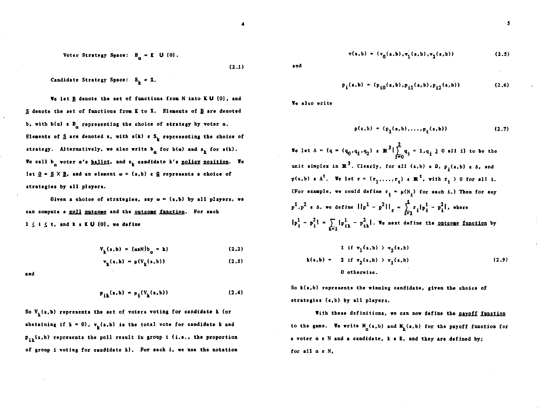Voter Strategy Space:  $B_n = E \cup \{0\}$ .

 $(2.1)$ 

Candidate Strategy Space:  $S_L = X$ .

We let B denote the set of functions from N into K U {0}, and  $S$  denote the set of functions from K to X. Elements of  $B$  are denoted b, with  $b(a) \epsilon B_a$  representing the choice of strategy by voter  $a$ . Elements of  $S$  are denoted s, with  $s(k)$  e  $S_k$  representing the choice of strategy. Alternatively, we also write  $b_{\alpha}$  for  $b(\alpha)$  and  $s_{\alpha}$  for  $s(k)$ . We call  $b_{\alpha}$  voter  $a'$ s ballot, and s<sub>k</sub> candidate k's <u>policy position</u>. We let  $\underline{\Omega} = \underline{S} \times \underline{B}$ , and an element  $\omega = (s, b)$  e  $\underline{\Omega}$  represents a choice of strategies by all players.

Given a choice of strategies, say  $\omega = (s, b)$  by all players, we can compute a poll outcome and the outcome function. For each  $1 \leq i \leq t$ , and **k** a KU  $\{0\}$ , we define

$$
V_{L}(s,b) = \{a s N | b_{n} = k\}
$$
 (2.2)

$$
\mathbf{v}_{\mathbf{k}}(\mathbf{s},\mathbf{b}) = \mu(\mathbf{V}_{\mathbf{k}}(\mathbf{s},\mathbf{b})) \tag{2.3}
$$

and

$$
p_{ik}(s,b) = \mu_i(V_k(s,b))
$$
 (2.4)

So  $V_{r}(s,b)$  represents the set of voters voting for candidate k (or abstaining if  $k = 0$ ,  $v_k(s,b)$  is the total vote for candidate k and  $p_{ik}(s,b)$  represents the poll result in group i (i.e., the proportion of group i voting for caudidate k). For each i, we use the notation

$$
v(s,b) = (v_0(s,b), v_1(s,b), v_2(s,b))
$$
 (2.5)

and

$$
p_{i}(s,b) = (p_{i0}(s,b), p_{i1}(s,b), p_{i2}(s,b))
$$
 (2.6)

We also write

$$
p(s,b) = (p_1(s,b),...,p_t(s,b))
$$
 (2.7)

We let  $\Delta = \{q = (q_0, q_1, q_2) \in \mathbb{R}^3 | \sum_{i=0}^2 q_i = 1, q_i \ge 0 \text{ all } i\}$  to be the unit simplex in  $\mathbb{R}^3$ . Clearly, for all  $(s, b)$  s  $\Omega$ ,  $p_i(s, b)$  s  $\Delta$ , and  $p(s,b) \in \Delta^t$ . We let  $r = (r_1,\ldots,r_r) \in \mathbb{R}^t$ , with  $r_i > 0$  for all i. (For smample, we could define  $r_i = \mu(N_i)$  for each i.) Then for any  $p^1, p^2$  s A, we define  $||p^1 - p^2||_r = \sum_{i=1}^r r_i |p_i^1 - p_i^2|$ , where  $|p_i^1 - p_i^2| = \sum_{k=1} |p_{ik}^1 - p_{ik}^2|$ . We next define the <u>ontcome function</u> by

$$
1 \text{ if } v_1(s,b) \to v_2(s,b)
$$
  
\n
$$
k(s,b) = 2 \text{ if } v_2(s,b) \to v_1(s,b)
$$
  
\n
$$
0 \text{ otherwise.}
$$
\n(2.9)

So k(s,b) represents the winning candidate, given the choice of strategies (s,b) by all players.

With these definitions, we can now define the payoff function to the game. We write  $M_{\alpha}(s,b)$  and  $M_{k}(s,b)$  for the payoff function for a voter a e N and a candidate, k & K, and they are defined by; for all  $a \in N$ ,

$$
\mathbf{5}^{\prime}
$$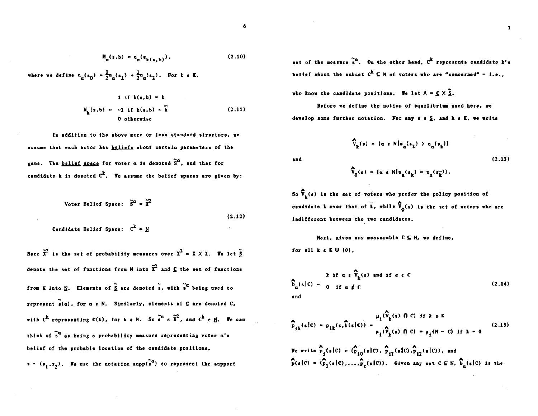$$
H_{\alpha}(s,b) = \mathfrak{u}_{\alpha}(s_{k(s,b)}), \qquad (2.10)
$$

where we define  $u_n(s_0) = \frac{1}{2}u_n(s_1) + \frac{1}{2}u_n(s_2)$ . For k e K,

1 if 
$$
k(s,b) = k
$$
  
\n $H_k(s,b) = -1$  if  $k(s,b) = k$   
\n0 otherwise (2.11)

In addition to the above more or less standard structure. we assume that each actor has beliefs about cortain parameters of the game. The belief space for voter  $a$  is denoted  $\tilde{S}^a$ , and that for candidate k is denoted  $c^k$ . We assume the belief spaces are given by:

Voter Belief Space: 
$$
\tilde{S}^{\alpha} = \tilde{X}^2
$$
  
(2.12)  
Landidate Belief Space:  $C^k = M$ 

Here  $\tilde{x}^2$  is the set of probability measures over  $x^2 = x \times x$ . We let  $\tilde{S}$ denote the set of functions from N into  $\tilde{x}^2$  and  $\underline{c}$  the set of functions from K into N. Elements of  $\tilde{S}$  are denoted s, with s<sup>a</sup> being used to represent  $\tilde{\bullet}$ (a), for a  $\epsilon$  N. Similarly, elements of  $\underline{C}$  are denoted  $C$ , with  $C^k$  representing  $C(k)$ , for k g N. So  $\tilde{e}^{\alpha}$  g  $\tilde{X}^2$ , and  $C^k$  g N. We can think of  $\tilde{s}^{\alpha}$  as being a probability measure representing voter  $\alpha' s$ belief of the probable location of the candidate positions,  $s = (s_1, s_2)$ . We use the notation supp(s<sup>a</sup>) to represent the support

set of the measure  $\tilde{s}^a$ . On the other hand,  $c^k$  represents candidate k's belief about the subset  $C^k \subseteq N$  of voters who are "concerned" - i.e.,

who know the candidate positions. We let  $\Lambda = C \times \widetilde{S}$ .

Before we define the notion of equilibrium used here, we develop some further notation. For any  $s \in S$ , and  $k \in K$ , we write

and

 $\hat{V}_{0}(s) = \{ \alpha \in N | u_{n}(s_{n}) = u_{n}(s_{n}^{-}) \}.$ 

 $\hat{V}_{n}(s) = (a \in N | n_{n}(s_{n}) \to n_{n}(s_{n}^{-}))$ 

So  $\hat{V}_{L}(s)$  is the set of voters who prefer the policy position of candidate k over that of  $\vec{k}$ , while  $\hat{V}_{0}(s)$  is the set of voters who are indifferent between the two candidates.

Next, given any measurable  $C \subseteq N$ , we define. for all  $k \in K \cup \{0\}$ ,

$$
\hat{b}_{\alpha}(s|C) = \begin{cases} k & \text{if } a \in \hat{V}_k(s) \text{ and if } a \in C \\ 0 & \text{if } a \neq C \end{cases}
$$
 (2.14)

$$
\hat{p}_{ik}(s|c) = p_{ik}(s, \hat{b}(s|c)) = \frac{\mu_i(\hat{V}_k(s) \cap C) \text{ if } k \in \mathbb{K}}{\mu_i(\hat{V}_k(s) \cap C) + \mu_i(N - C) \text{ if } k = 0}
$$
\n(2.15)

We write  $\hat{P}_4(s|C) = (\hat{P}_{10}(s|C), \hat{P}_{11}(s|C), \hat{P}_{12}(s|C))$ , and  $\widehat{p}(s|C) = (\widehat{p}_1(s|C), \ldots, \widehat{p}_r(s|C))$ . Given any set  $C \subseteq N$ ,  $\widehat{b}_n(s|C)$  is the

$$
\mathcal{L}^{\mathcal{L}}
$$

 $(2.13)$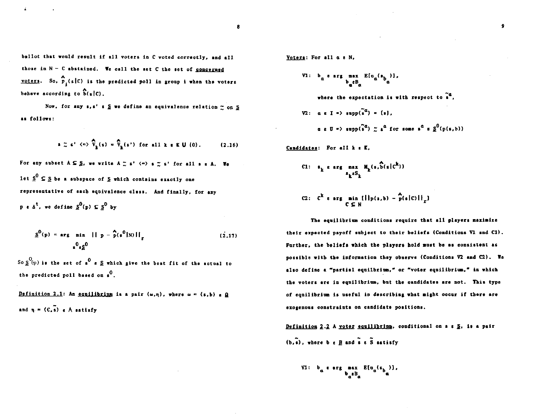ballot that would result if all voters in C voted correctly, and all those in  $N - C$  abstained. We call the set  $C$  the set of concerned voters. So,  $\hat{p}_i(s|C)$  is the predicted poll in group i when the voters behave according to  $b(s|c)$ .

Now, for any  $s,s'$   $s \leq w$ e define an equivalence relation  $\sim$  on S as follows:

$$
\mathbf{s} \approx \mathbf{s}^* \iff \widehat{\mathbf{v}}_{\mathbf{k}}(\mathbf{s}) = \widehat{\mathbf{v}}_{\mathbf{k}}(\mathbf{s}^*) \text{ for all } \mathbf{k} \in \mathbb{K} \cup \{0\}. \tag{2.16}
$$

For any subset  $A \subseteq S$ , we write  $A \ncong s'$   $\langle n \rangle$  a  $\sim$  s' for all s s A. We let  $\underline{s}^{0} \subseteq \underline{s}$  be a subspace of  $\underline{s}$  which contains exactly one representative of each equivalence class. And finally, for any p s  $\Delta^t$ , we define  $S^0(p) \subseteq S^0$  by

$$
\underline{s}^{0}(p) = \arg \min_{\hat{s}^{0} \in \underline{s}^{0}} ||p - \hat{p}(s^{0}|N)||_{\underline{r}}
$$
 (2.17)

So  $S^{(p)}$  is the set of s<sup>0</sup> s  $S$  which give the best fit of the actual to the predicted poll based on  $s^0$ .

Definition 2.1: An equilibrium is a pair  $(\omega,\eta)$ , where  $\omega = (s,b)$  a  $\Omega$ and  $\eta = (C, \bar{s})$  e  $\Lambda$  satisfy

Voters: For all  $\alpha$  s N.

V1: 
$$
b_{\alpha} \epsilon \arg \max_{b_{\alpha} \in B_{\alpha}} E(a_{\alpha}(s_{b_{\alpha}})),
$$
  
\nwhere the expectation is with respect to  $\tilde{s}^{\alpha}$ ,  
\nV2:  $\alpha \epsilon I \Rightarrow \sup_{\alpha} (\tilde{s}^{\alpha}) = \{s\},$   
\n $\alpha \epsilon U = \sup_{\alpha} (\tilde{s}^{\alpha}) \approx s^{\alpha} \text{ for some } s^{\alpha} \in \underline{S}^{0}(\mathbf{p}(s, b))$ 

Candidates: For all k & E.

$$
c_1: \quad \bullet_k \text{ and } \quad \mathbf{M}_k(\mathfrak{s},\widehat{\mathfrak{b}}(\mathfrak{s}|\mathfrak{c}^k))
$$

C2: 
$$
C^k
$$
 e arg min  $\{||p(s,b) - \hat{p}(s|c)||_F$ 

The equilibrium conditions require that all players maximize their expected payoff subject to their beliefs (Conditions V1 and C1). Further, the beliefs which the players hold must be as consistent as possible with the information they observe (Conditions V2 and C2). We also define a "partial equilbrium," or "voter equilibrium," in which the voters are in equilibrium, but the candidates are not. This type of equilibrium is useful in describing what might occur if there are exogenous constraints on candidate positions.

Definition 2.2 A voter equilibrium, conditional on  $s \in S$ , is a pair  $(b, \tilde{s})$ , where  $b \in B$  and  $\tilde{s} \in \tilde{S}$  satisfy

VI: 
$$
b_a
$$
 **erg max**  $E[a_a(s_b)]$ ,  
 $b_a \in B_a$ 

 $\bullet$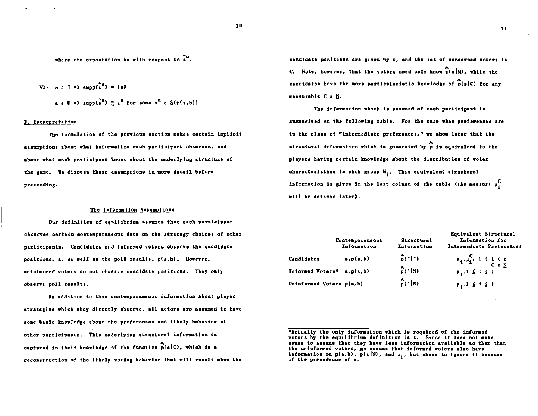where the expectation is with respect to  $\tilde{s}^a$ .

V2: 
$$
\alpha \in I \Rightarrow \text{supp}(\tilde{s}^a) = \{a\}
$$
  
 $\alpha \in U \Rightarrow \text{supp}(\tilde{s}^a) \approx \epsilon^a \text{ for some } s^a \in \underline{S}(p(s,b))$ 

#### 3. Interpretation

The formulation of the previous section makes certain implicit assumptions about what information each participant observes, and about what each participant knows about the underlying structure of the game. We discuss these assumptions in more detail before proceeding.

#### The Information Assumptions

Our definition of equilibrium assumes that each participant observes certain contemporaneous data on the strategy choices of other participants. Candidates and informed voters observe the candidate positions,  $s$ , as well as the poll results,  $p(s, b)$ . However, uninformed voters do not observe candidate positions. They only observe poll results.

In addition to this contemporaneous information about player strategies which they directly observe, all actors are assumed to have some basic knowledge about the preferences and likely behavior of other participants. This underlying structural information is captured in their knowledge of the function  $\widehat{p}(s|C)$ , which is a reconstruction of the likely voting behavior that will result when the candidate positions are given by s, and the set of concerned voters is C. Note, however, that the voters need only know  $\hat{p}(s|N)$ , while the candidates have the more particularistic knowledge of  $\hat{p}(s|C)$  for any measurable C & N.

The information which is assumed of each participant is summarized in the following table. For the case when preferences are in the class of "intermediate preferences," we show later that the structural information which is generated by p is equivalent to the players having certain knowledge about the distribution of voter characteristics in each group  $N_i$ . This equivalent structural information is given in the last column of the table (the measure  $\mu_i^C$ will be defined later).

|                          | Contemporaneous<br>Information | Structural<br>Information         | Equivalent Structural<br>Information for<br>Intermediate Preferences |
|--------------------------|--------------------------------|-----------------------------------|----------------------------------------------------------------------|
| Candidates               | s, p(s, b)                     | $\hat{p}(\cdot \cdot)$            | $\mu_i, \mu_i^C, 1 \leq i \leq t$<br>C s N                           |
| Informed Voters*         | s, p(s, b)                     | $\int_{\mathbb{R}} ( \cdot   N )$ | $\mu_4$ ,<br>1 $\leq$ i $\leq$ t                                     |
| Uninformed Voters p(s,b) |                                | $\int_{P}^{A}$ ( $\cdot$   N)     | $\mu_1, 1 \leq i \leq t$                                             |

<sup>\*</sup>Actually the only information which is required of the informed voters by the equilibrium definition is s. Since it does not make sense to assume that they have less information available to them than the uninformed voters, ge assume that informed voters also have information on  $p(s,b)$ ,  $p(s|N)$ , and  $\mu_1$ , but chose to ignore it because of the precedence of s.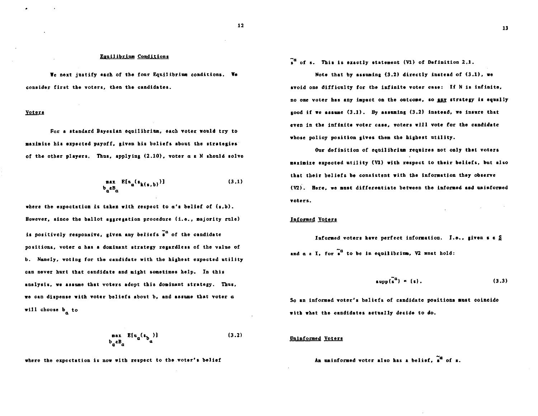#### **Equilibrium Conditions**

We next justify each of the four Equilibrium conditions. We consider first the voters, then the candidates.

#### Voters

For a standard Bayesian equilibrium, each voter would try to maximize his expected payoff, given his beliefs about the strategies of the other players. Thus, applying (2.10), voter a a N should solve

$$
\begin{array}{ll}\n\texttt{max} & \mathbf{E}[\mathbf{u}_a(\mathbf{s}_{\mathbf{k}(\mathbf{s},b)})] \\
\mathbf{b}_a \mathbf{B}_a\n\end{array} \tag{3.1}
$$

where the expectation is taken with respect to  $a'$  belief of  $(s, b)$ . However, since the ballot aggregation procedure (i.e., majority rule) is positively responsive, given any beliefs  $\tilde{s}^{\alpha}$  of the candidate positions, voter a has a dominant strategy regardless of the value of b. Namely, voting for the candidate with the highest expected utility can never hurt that candidate and might sometimes help. In this analysis, we assume that voters adopt this dominant strategy. Thus, we can dispense with voter beliefs about b, and assume that voter a will choose  $b_n$  to

$$
\begin{array}{ll}\n\text{max} & \mathbb{E}\left[\mathbf{u}_a(\mathbf{s}_b)\right] \\
\mathbf{b}_a \mathbf{e} \mathbf{B}_a\n\end{array} \tag{3.2}
$$

where the expectation is now with respect to the voter's belief

 $\tilde{A}^a$  of s. This is exactly statement (V1) of Definition 2.1.

Note that by assuming  $(3.2)$  directly instead of  $(3.1)$ , we avoid one difficulty for the infinite voter case: If N is infinite, no one voter has any impact on the outcome, so any strategy is equally good if we assume  $(3.1)$ . By assuming  $(3.2)$  instead, we insure that even in the infinite voter case, voters will vote for the candidate whose policy position gives them the highest utility.

Our definition of equilibrium requires not only that voters maximize expected utility (V1) with respect to their beliefs, but also that their beliefs be consistent with the information they observe (V2). Here, we must differentiate between the informed and uninformed voters.

#### **Informed Voters**

Informed voters have perfect information. I.e., given s & S and  $a \in I$ , for  $\tilde{s}^a$  to be in equilibrium, V2 must hold:

$$
\text{supp}(\mathbf{s}^{\alpha}) = \{\mathbf{s}\}. \tag{3.3}
$$

 $\mathcal{L}^{\text{max}}$  and  $\mathcal{L}^{\text{max}}$ 

So an informed voter's beliefs of candidate positions must coincide with what the candidates actually decide to do.

#### **Uninformed Voters**

An uninformed order also has a belief, 
$$
s^{\alpha}
$$
 of s.

$$
13
$$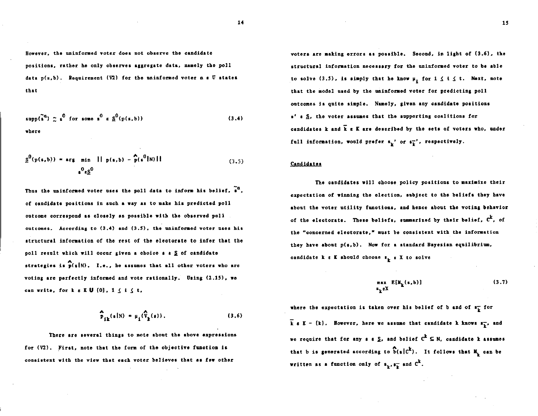However, the uninformed voter does not observe the candidate positions, rather he only observes aggregate data, namely the poll data p(s,b). Requirement (V2) for the uninformed voter a a U states that

$$
\text{supp}(\tilde{s}^a) \sim s^0 \text{ for some } s^0 \text{ s } \underline{s}^0(p(s,b))
$$
\nwhere

\n(3.4)

$$
\underline{s}^{0}(p(s,b)) = \arg \min_{s^{0}\in\underline{S}^{0}} ||p(s,b) - \widehat{p}(s^{0}|N)||
$$
\n(3.5)

Thus the uninformed voter uses the poll data to inform his belief,  $\tilde{a}^a$ , of candidate positions in such a way as to make his predicted poll outcome correspond as closely as possible with the observed poll outcomes. According to (3.4) and (3.5), the uninformed voter uses his structural information of the rest of the electorate to infer that the poll result which will occur given a choice  $s \geq 0$  candidate strategies is  $\hat{p}(s|N)$ . I.e., he assumes that all other voters who are voting are perfectly informed and vote rationally. Using (2.15), we can write, for  $k \in K \cup \{0\}$ ,  $1 \leq i \leq t$ ,

$$
\widehat{\mathbf{p}}_{j\mathbf{k}}(\mathbf{s}|\mathbf{N}) = \mu_{j}(\widehat{\mathbf{v}}_{\mathbf{k}}(\mathbf{s})).
$$
\n(3.6)

There are several things to note about the above expressions for (V2). First, note that the form of the objective function is consistent with the view that each voter believes that as few other

voters are making errors as possible. Second, in light of (3.6), the structural information necessary for the uninformed voter to be able to solve (3.5), is simply that he know  $\mu_i$  for  $1 \le i \le t$ . Next, note that the model used by the uninformed voter for predicting poll outcomes is quite simple. Namely, given any candidate positions s' s S. the voter assumes that the supporting coalitions for candidates  $k$  and  $\overline{k}$  a  $\overline{k}$  are described by the sets of voters who, under full information, would prefer  $s_{\mathbf{k}}$ ' or  $s_{\mathbf{k}}^{-1}$ , respectively.

#### Candidates

The candidates will choose policy positions to maximize their expectation of winning the election, subject to the beliefs they have about the voter utility functions, and hence about the voting behavior of the electorate. These beliefs, summarized by their belief,  $c^k$ , of the "concerned electorate," must be consistent with the information they have about p(s.b). Now for a standard Bayesian equilibrium, candidate  $k \in K$  should choose  $s_k \in X$  to solve

$$
\max_{s_k \in X} E[M_k(s, b)] \tag{3.7}
$$

where the expectation is taken over his belief of b and of  $s_k^-$  for  $\bar{k}$  & K - {k}. However, here we assume that candidate k knows  $s_{\bar{k}}$ , and we require that for any  $s \in S$ , and belief  $C^k \subseteq N$ , candidate k assumes that b is generated according to  $\hat{b}(s|c^k)$ . It follows that  $M_k$  can be written as a function only of  $s_{k}$ ,  $s_{k}^{-}$  and  $C^{k}$ .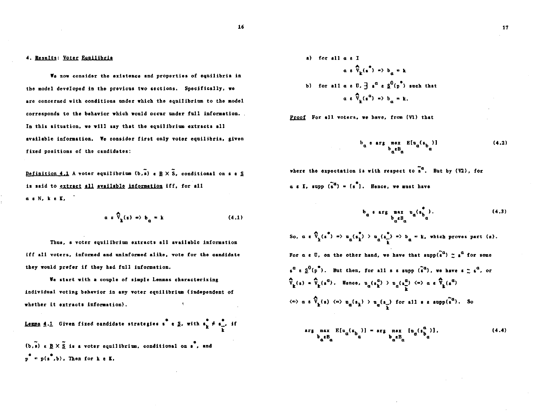#### 4. Results: Voter Equilibria

We now consider the existence and properties of equilibria in the model developed in the previous two sections. Specifically, we are concerned with conditions under which the equilibrium to the model corresponds to the behavior which would occur under full information. In this situation, we will say that the equilibrium extracts all available information. We consider first only voter equilibria, given fixed positions of the candidates:

Definition 4.1 A voter equilibrium (b,s) a B  $\times$  S. conditional on s a S is said to extract all available information iff, for all as N, ke K,

$$
a \times \widehat{V}_k(s) \Rightarrow b_n = k \tag{4.1}
$$

Thus, a voter equilibrium extracts all available information iff all voters, informed and uninformed alike, vote for the candidate they would prefer if they had full information.

We start with a couple of simple Lemmas characterizing individual voting behavior in any voter equilibrium (independent of whether it extracts information).

<u>Lemma 4.1</u> Given fixed candidate strategies  $x^*$  s  $\S$ , with  $s_k^* \neq s_{k'}^*$  if (b, s)  $\epsilon \underline{B} \times \underline{\underline{S}}$  is a voter equilibrium, conditional on  $\stackrel{\bullet}{s}$ , and  $p^* = p(s^*, b)$ , Then for k e K.

a) for all 
$$
\alpha \in \mathbb{T}
$$
  
  
 $\alpha \in \widehat{V}_k(\mathfrak{n}^*) \Rightarrow b_{\alpha} = k$   
b) for all  $\alpha \in \mathbb{U}$ ,  $\exists \mathfrak{n}^{\alpha} \in \mathfrak{L}^0(\mathfrak{p}^*)$  such that  
 $\alpha \in \widehat{V}_k(\mathfrak{n}^{\alpha}) \Rightarrow b_{\alpha} = k$ .

Proof For all voters, we have, from (V1) that

where the expectation is with respect to  $\tilde{s}^{\alpha}$ . But by (V2), for  $\alpha$  s I. supp  $\widetilde{a}^a$  =  $\{\overline{s}^a\}$ . Hence, we must have

So,  $a \in \widehat{V}_k(s^*) \Rightarrow u_a(s_k^*) \to u_a(s_k^*) \Rightarrow b_a = k$ , which proves part (a). For  $\alpha \in \mathbb{U}$ , on the other hand, we have that supp( $\tilde{a}^{\alpha}$ )  $\sim \tilde{a}^{\alpha}$  for some  $s^{\alpha} \in S^{0}(p^{*})$ . But then, for all s s supp  $(s^{\alpha})$ , we have  $s \simeq s^{\alpha}$ , or  $\hat{v}_k(s) = \hat{v}_k(s^{\alpha})$ . Hence,  $u_{\alpha}(s_k^{\alpha}) > u_{\alpha}(s_k^{\alpha})$   $\iff$   $\alpha \in \hat{v}_k(s^{\alpha})$  $\langle \infty \rangle$  a  $\epsilon \widehat{V}_k(s)$   $\langle \infty \rangle$   $u_{\alpha}(s_k)$   $\ge u_{\alpha}(s_k)$  for all  $s$  s supp $(\widetilde{s}^{\alpha})$ . So

$$
\arg \max_{\mathbf{b}_{\alpha} \in \mathcal{B}_{\alpha}} E[\mathbf{u}_{\alpha}(\mathbf{s}_{\mathbf{b}_{\alpha}})] = \arg \max_{\mathbf{b}_{\alpha} \in \mathcal{B}_{\alpha}} [\mathbf{u}_{\alpha}(\mathbf{s}_{\mathbf{b}_{\alpha}}^{\alpha})], \tag{4.4}
$$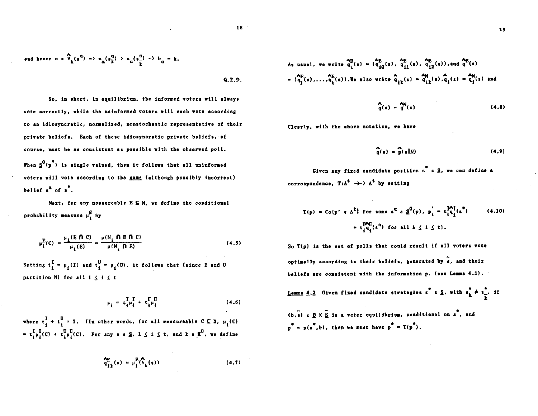$$
\mathbf{18}^{\phantom{\dagger}}
$$

and hence 
$$
a * \widehat{V}_k(s^a) \Rightarrow a_{\alpha}(s_k^a) > a_{\alpha}(s_{\overline{k}}^a) \Rightarrow b_{\alpha} = k.
$$

 $0.E.D.$ 

So, in short, in equilibrium, the informed voters will always vote correctly, while the uninformed voters will each vote according to an idiosyncratic, normalized, nonstochastic representative of their private beliefs. Each of these idiosyncratic private beliefs. of course, must be as consistent as possible with the observed poll. When  $\underline{s}^0(p^*)$  is single valued, then it follows that all uninformed voters will vote according to the same (although possibly incorrect) belief  $s^a$  of  $s^a$ .

Next, for any measureable  $E \subseteq N$ , we define the conditional probability measure  $\mu_i^E$  by

$$
\mu_{\mathbf{i}}^{\mathbf{E}}(C) = \frac{\mu_{\mathbf{i}}(E \cap C)}{\mu_{\mathbf{i}}(E)} = \frac{\mu(N_{\mathbf{i}} \cap E \cap C)}{\mu(N_{\mathbf{i}} \cap E)}
$$
(4.5)

Setting  $t_i^{\text{I}} = \mu_i(I)$  and  $t_i^{\text{U}} = \mu_i(\text{U})$ , it follows that (since I and U partition N) for all  $1 \leq i \leq t$ 

$$
\mu_{\underline{i}} = t_{\underline{i}}^{\underline{T}} \mu_{\underline{i}}^{\underline{T}} + t_{\underline{i}}^{\underline{U}} \mu_{\underline{i}}^{\underline{U}} \tag{4.6}
$$

where  $t_i^I + t_i^U = 1$ . (In other words, for all measureable  $C \subseteq X$ ,  $\mu_i(C)$ =  $t_i^L \mu_i^I(c)$  +  $t_i^U \mu_i^U(c)$ . For any  $s \in \underline{S}$ ,  $1 \leq i \leq t$ , and  $k \in \underline{K}^0$ , we define

$$
\mathbf{q}_{ik}^{\text{E}}(\mathbf{s}) = \mu_i^{\text{E}}(\mathbf{\hat{V}}_k(\mathbf{s})) \tag{4.7}
$$

As usual, we write 
$$
\mathbf{q}_i^E(s) = (\mathbf{q}_{i0}^E(s), \mathbf{q}_{i1}^E(s), \mathbf{q}_{i2}^E(s))
$$
, and  $\mathbf{q}^E(s)$   
=  $(\mathbf{q}_1^E(s), ..., \mathbf{q}_t^E(s))$ . We also write  $\mathbf{q}_{1k}(s) = \mathbf{q}_{1k}^N(s) \mathbf{q}_i(s) = \mathbf{q}_i^N(s)$  and

$$
\mathbf{Q}(\mathbf{s}) = \mathbf{Q}(\mathbf{s}) \tag{4.8}
$$

Clearly, with the above notation, we have

$$
\widehat{q}(s) = \widehat{p}(s|N)
$$
 (4.9)

Given any fixed candidate position s  $s \leq s$ , we can define a correspondence,  $T: A^t \rightarrow A^t$  by setting

So T(p) is the set of polls that could result if all voters vote optimally according to their boliefs, generated by s, and their beliefs are consistent with the information p. (see Lemma 4.1).

<u>Lomma 4.2</u> Given fixed candidate strategies s<sup>e</sup> s  $\S$ , with  $s_k^* \neq s_{\overline{k}}^*$ , if

 $(b, s)$   $\in$   $B \times \widetilde{S}$  is a voter equilibrium, conditional on  $s^*$ , and  $p^* = p(s^* , b)$ , then we must have  $p^* = T(p^* )$ .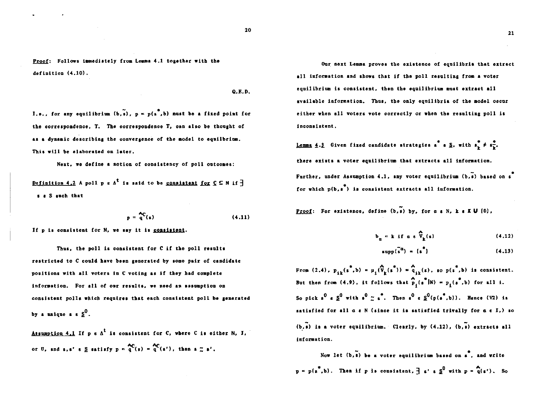Proof: Follows immediately from Lemma 4.1 together with the definition (4.10).

 $Q.E.D.$ 

I.o., for any equilibrium  $(b, \tilde{a})$ ,  $p = p(a, b)$  must be a fixed point for the correspondence. T. The correspondence T. can also be thought of as a dynamic describing the convergence of the model to equilbrium. This will be elaborated on later.

Next, we define a notion of consistency of poll outcomes:

Definition 4.2 A poll p s  $\Lambda^t$  is said to be consistent for  $C \subseteq N$  if  $\overline{f}$ s a S such that

$$
p = \frac{\Delta C}{q}(s) \tag{4.11}
$$

If p is consistent for N, we say it is consistent.

Thus, the poll is consistent for C if the poll results restricted to C could have been generated by some pair of candidate positions with all voters in C voting as if they had complete information. For all of our results, we need an assumption on consistent polls which requires that each consistent poll be generated by a unique  $s \, s^0$ .

Assumption 4.1 If  $p \in A^t$  is consistent for C, where C is either N, I, or U, and s, s' e S satisfy  $p = \frac{AC}{q}(s) = q'(s')$ , then  $s \approx s'$ .

Our next Lemma proves the existence of equilibria that extract all information and shows that if the poll resulting from a voter equilibrium is consistent, then the equilibrium must extract all available information. Thus, the only equilibria of the model occur either when all voters vote correctly or when the resulting poll is inconsistent.

<u>Lemma 4.3</u> Given fixed candidate strategies  $\overrightarrow{a}$  s  $\sum$ , with  $\overrightarrow{s}$ ,  $\neq$   $\overrightarrow{s}$ , there exists a voter equilibrium that extracts all information. Further, under Assumption 4.1, any voter equilibrium (b,s) based on s for which  $p(b, s^*)$  is consistent extracts all information.

Proof: For existence, define  $(b, a)$  by, for a a N, k a K U  $(0)$ ,

$$
\mathbf{b}_{\alpha} = \mathbf{k} \text{ if } \alpha \in \widehat{\mathbf{V}}_{\mathbf{k}}(\mathbf{s}) \tag{4.12}
$$

$$
\text{supp}(\tilde{s}^{\alpha}) = \{s^{\alpha}\} \tag{4.13}
$$

From (2.4),  $p_{11}(s^4, b) = \mu_1(\hat{V}_1(s^4)) = \hat{q}_{11}(s)$ , so  $p(s^4, b)$  is consistent. But then from (4.9), it follows that  $\widehat{P}_1(s^*|N) = p_1(s^*,b)$  for all i. So pick  $s^0 \in \underline{s}^0$  with  $s^0 \approx s^2$ . Then  $s^0 \in \underline{s}^0(p(s^2, b))$ . Hence (V2) is satisfied for all  $a \in N$  (since it is satisfied trivally for  $a \in I$ .) so  $(b, \tilde{s})$  is a voter equilibrium. Clearly, by  $(4.12)$ ,  $(b, \tilde{s})$  extracts all information.

Now let  $(b, \tilde{s})$  be a voter equilibrium based on  $s$ , and write  $p = p(s, b)$ . Then if p is consistent,  $\frac{1}{2} s'$  s S<sup>0</sup> with  $p = q(s')$ . So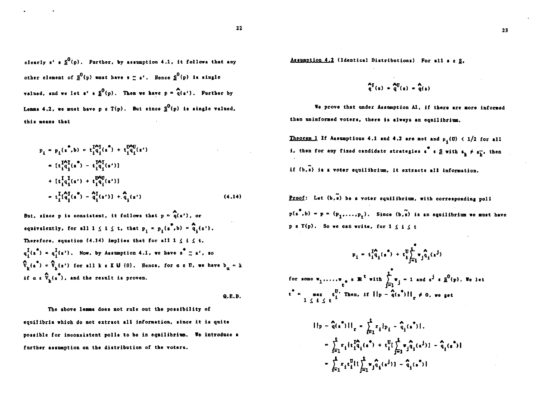23

clearly s'  $s \frac{0}{2}$ (p). Further, by assumption 4.1, it follows that any other element of  $S^0(p)$  must have  $s \approx s'$ . Hence  $S^0(p)$  is single valued, and we let  $s'$   $s \frac{0}{\rho}$ , Then we have  $p = q(s')$ . Further by Lemma 4.2, we must have p s  $T(p)$ . But since  $S^0(p)$  is single valued, this neans that

$$
p_{i} = p_{i}(s^{*}, b) = t_{i}^{I\Delta_{i}^{T}}(s^{*}) + t_{i}^{D\Delta_{i}^{T}}(s^{*})
$$
\n
$$
= [t_{i}^{I\Delta_{i}^{T}}(s^{*}) - t_{i}^{I\Delta_{i}^{T}}(s^{*})]
$$
\n
$$
+ [t_{i}^{I}\alpha_{i}^{I}(s^{*}) + t_{i}^{D\Delta_{i}^{T}}(s^{*})]
$$
\n
$$
- t_{i}^{I}\alpha_{i}^{T}(s^{*}) - \alpha_{i}^{I}(s^{*})] + \alpha_{i}^{I}(s^{*})
$$
\n(4.14)

But, since p is consistent, it follows that  $p = q(s')$ , or equivalently, for all  $1 \leq i \leq t$ , that  $p_i = p_i(s^*, b) = \hat{q}_i(s')$ . Therefore, equation (4.14) implies that for all  $1 \leq i \leq t$ .  $q_1^I(s^*) = q_1^I(s^*)$ . Now, by Assumption 4.1, we have  $s^* \n\t\approx s^*$ , so  $\hat{V}_{k}(s^{*}) = \hat{V}_{k}(s^{*})$  for all k  $\epsilon \times U$  (0). Hence, for  $a \in U$ , we have  $b_{\alpha} = k$ if  $a \in \widehat{V}_L(\widehat{s}^*)$ , and the result is proven.

 $0.E.D.$ 

The above lemma does not rule out the possibility of equilibria which do not extract all information, since it is quite possible for inconsistent polls to be in equilibrium. We introduce a further assumption on the distribution of the voters.

Assumption 4.2 (Identical Distributions) For all a e S.

$$
\frac{q}{q}(s) = \frac{q}{q}(s) = \frac{q}{q}(s)
$$

We prove that under Assumption Al, if there are more informed than uninformed voters, there is always an equilibrium.

Theorem 1 If Assumptions 4.1 and 4.2 are met and  $\mu_4$ (U)  $\leftarrow$  1/2 for all i, then for any fixed candidate strategies  $\int_a^b \epsilon \leq \text{with } s_k \neq s_k^-$ , then if  $(b, \tilde{s})$  is a voter equilibrium, it extracts all information.

**Proof:** Let  $(b,\tilde{s})$  be a voter equilibrium, with corresponding poll  $p(s^4, b) = p = (p_1, \ldots, p_r)$ . Since  $(b, \tilde{s})$  is an equilibrium we must have p &  $T(p)$ . So we can write, for  $1 \le i \le t$ 

$$
p_{1} = t_{1}^{I_{A}}(s^{*}) + t_{1}^{U} \sum_{j=1}^{e} \sum_{j=1}^{A} t_{j}^{A}(s^{j})
$$
  
for some  $\mathbf{v}_{1}, \dots, \mathbf{v}_{e}$  s R<sup>t</sup> with  $\sum_{j=1}^{e} \mathbf{v}_{j} = 1$  and  $s^{j}$  s  $\mathbf{g}^{0}(p)$ . We let  
 $t^{*} = \max_{1 \leq i \leq t} t_{i}^{U}$ . Then, if  $||p - \hat{q}(s^{*})||_{T} \neq 0$ , we get

$$
||p - \hat{q}(s^*)||_r = \sum_{i=1}^t r_i |p_i - \hat{q}_i(s^*)|.
$$
  

$$
= \sum_{i=1}^t r_i |t_1^T \hat{q}_i(s^*) + t_1^U[\sum_{j=1}^t r_j \hat{q}_i(s^j)] - \hat{q}_i(s^*)|
$$
  

$$
= \sum_{i=1}^t r_i t_1^U[t_1^T \sum_{j=1}^t r_j \hat{q}_i(s^j)] - \hat{q}_i(s^*)|
$$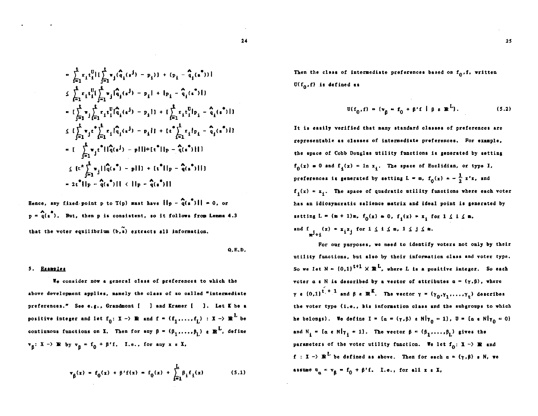$$
= \sum_{i=1}^{t} x_{i} t_{i}^{0} | \left[ \sum_{j=1}^{t} w_{j} (\hat{q}_{i} (s^{j}) - p_{i}) \right] + (p_{i} - \hat{q}_{i} (s^{*}) )|
$$
\n
$$
\leq \sum_{i=1}^{t} x_{i} t_{i}^{0} \left[ \sum_{j=1}^{t} w_{j} (\hat{q}_{i} (s^{j}) - p_{i} | + |p_{i} - \hat{q}_{i} (s^{*})| \right]
$$
\n
$$
= \left[ \sum_{j=1}^{t} w_{j} \sum_{i=1}^{t} r_{i} t_{i}^{0} (\hat{q}_{i} (s^{j}) - p_{i} | + \left[ \sum_{i=1}^{t} r_{i} t_{i}^{0} | p_{i} - \hat{q}_{i} (s^{*})| \right] \right]
$$
\n
$$
\leq \left[ \sum_{j=1}^{t} w_{j} t^{*} \sum_{i=1}^{t} r_{i} (\hat{q}_{i} (s^{j}) - p_{i} | + \left[ t^{*} \sum_{i=1}^{t} r_{i} h_{i} - \hat{q}_{i} (s^{*})| \right] \right]
$$
\n
$$
= \left[ \sum_{j=1}^{t} w_{j} t^{*} || \hat{q} (s^{j}) - p | \right] + \left[ t^{*} || p - \hat{q} (s^{*})| \right]
$$
\n
$$
\leq \left[ t^{*} \sum_{j=1}^{t} w_{j} || \hat{q} (s^{*}) - p | \right] + \left[ t^{*} || p - \hat{q} (s^{*})| \right]
$$
\n
$$
\leq \left[ t^{*} \sum_{j=1}^{t} w_{j} || \hat{q} (s^{*}) - p | \right] + \left[ t^{*} || p - \hat{q} (s^{*})| \right]
$$
\n
$$
= 2t^{*} || p - \hat{q} (s^{*}) || \leq || p - \hat{q} (s^{*}) ||
$$

Hence, any fixed point p to  $T(p)$  must have  $\|\cdot\|_p - \frac{\alpha}{q}(\frac{e^2}{r})\|_1 = 0$ , or  $p = \hat{q}(s^2)$ . But, then p is consistent, so it follows from Lemma 4.3 that the voter equilibrium  $(b, s)$  extracts all information.

$$
Q, E, D,
$$

#### 5. Examples

We consider now a general class of preferences to which the above development applies, namely the class of so called "intermediate preferences." See e.g., Grandmont [ ] and Kramer [ ]. Let K be a positive integer and let  $f_0: X \to \mathbb{R}$  and  $f = (f_1, ..., f_L) : X \to \mathbb{R}^L$  be continuous functions on X. Then for any  $\beta = (\beta_1, \ldots, \beta_L)$  a  $\mathbb{R}^L$ , define  $v_{\beta}: X \rightarrow \mathbb{R}$  by  $v_{\beta} = f_0 + \beta' f$ . I.e., for any x s X,

$$
\mathbf{v}_{\beta}(x) = f_0(x) + \beta' f(x) = f_0(x) + \sum_{i=1}^{L} \beta_i f_1(x) \quad (5.1)
$$

Then the class of intermediate preferences based on  $f_0, f$ , written  $U(f_0, f)$  is defined as

$$
\mathbf{U}(\mathbf{f}_0, \mathbf{f}) = \{ \mathbf{v}_\beta = \mathbf{f}_0 + \beta' \mathbf{f} \mid \beta \in \mathbb{R}^L \},
$$
 (5.2)

It is easily verified that many standard classes of preferences are representable as classes of intermediate preferences. For example. the space of Cobb Douglas utility functions is generated by setting  $f_n(x) = 0$  and  $f_i(x) = \ln x_i$ . The space of Euclidian, or type I, preferences is generated by setting  $L = m$ ,  $f_0(x) = -\frac{1}{2}x^t x$ , and  $f_1(x) = x_1$ . The space of quadratic utility functions where each voter has an idiosyncratic salience matrix and ideal point is generated by setting  $L = (m + 1)m$ ,  $f_0(x) = 0$ ,  $f_1(x) = x$ , for  $1 \le i \le m$ , and  $f_{i,j}(x) = x_i x_j$  for  $1 \leq i \leq m$ ,  $1 \leq j \leq m$ .

For our purposes, we need to identify voters not only by their utility functions, but also by their information class and voter type. So we let  $N = \{0,1\}^{t+1} \times \mathbb{R}^{L}$ , where L is a positive integer. So each voter a s N is described by a vector of attributes  $a = (\gamma, \beta)$ , where  $\gamma$  s  $\{0,1\}$ <sup>t</sup> <sup>+</sup> <sup>1</sup> and  $\beta$  s R<sup>K</sup>. The vector  $\gamma = (\gamma_0, \gamma_1, ..., \gamma_r)$  describes the voter type (i.e., his information class and the subgroups to which he belongs). We define  $I = \{ \alpha = (\gamma, \beta) \in N | \gamma_0 = 1 \}$ ,  $B = \{ \alpha \in N | \gamma_0 = 0 \}$ and  $N_i = [a \in N | \gamma_i = 1].$  The vector  $\beta = (\beta_1, ..., \beta_L)$  gives the parameters of the voter utility function. We let  $f_0$ :  $\mathbf{I} \rightarrow \mathbf{R}$  and f :  $X \rightarrow \mathbb{R}^L$  be defined as above. Then for each  $\alpha = (\gamma, \beta)$  s N, we assume  $u_n = v_8 = f_0 + \beta' f$ . I.e., for all  $x \in X$ ,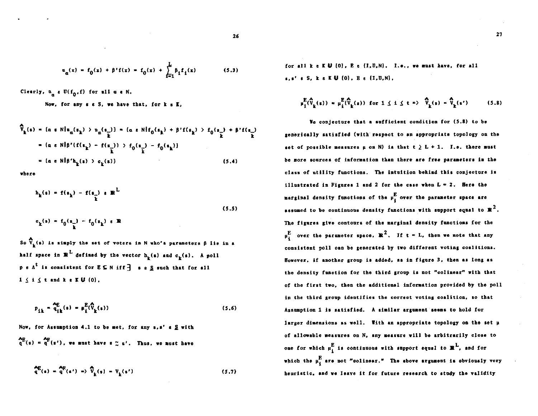$$
i_{\alpha}(x) = f_0(x) + \beta' f(x) = f_0(x) + \sum_{i=1}^{L} \beta_i f_i(x)
$$
 (5.3)

Clearly,  $n_n \in U(f_0, f)$  for all  $\alpha \in N$ .

Now, for any s s S, we have that, for k s K.

$$
\hat{V}_{k}(s) = \{a \in N | n_{\alpha}(s_{k}) \to n_{\alpha}(s_{k})\} = \{a \in N | f_{0}(s_{k}) + \beta' f(s_{k}) \to f_{0}(s_{k}) + \beta' f(s_{k})\}
$$
\n
$$
= \{a \in N | \beta' (f(s_{k}) - f(s_{k})) \to f_{0}(s_{k}) - f_{0}(s_{k})\}
$$
\n
$$
= \{a \in N | \beta' h_{k}(s) \to c_{k}(s)\}
$$
\n(5.4)

**where** 

$$
h_{\mathbf{k}}(s) = f(s_{\mathbf{k}}) - f(s_{\mathbf{k}}) \times \mathbf{R}^{L}
$$
  
(5.5)  

$$
c_{\mathbf{k}}(s) = f_{0}(s_{\mathbf{k}}) - f_{0}(s_{\mathbf{k}}) \times \mathbf{R}
$$

So  $\widehat{V}_k(\epsilon)$  is simply the set of voters in N who's parameters  $\beta$  lie in a half space in  $\mathbb{R}^L$  defined by the vector  $h_L(\epsilon)$  and  $c_L(\epsilon)$ . A poll  $p \in A^t$  is consistent for  $E \subseteq N$  iff  $\exists$  s s S such that for all  $1 \leq i \leq t$  and  $k \in K$   $U$   $\{0\}$ ,

$$
p_{1k} = \frac{\partial E}{\partial q_k}(s) = \mu_i^E(\hat{V}_k(s))
$$
\n(5.6)

Now, for Assumption 4.1 to be met, for any  $s, s' \in S$  with Ap Ap  $\mathbf{a}$  (s'), we must have  $\mathbf{s} \approx \mathbf{s}'$ . Thus, we must have

$$
\mathbf{Q}^{\mathbf{E}}(\mathbf{s}) = \mathbf{Q}^{\mathbf{R}}(\mathbf{s}') = \nabla_{\mathbf{k}}(\mathbf{s}) = \nabla_{\mathbf{k}}(\mathbf{s}')
$$
\n(5.7)

for all  $k \in K \cup \{0\}$ ,  $E \in \{I, U, N\}$ . I.e., we must have, for all s, s' e S, k e K U (0), E e {1, U, N},

$$
\mu_1^E(\widehat{V}_k(s)) = \mu_1^E(\widehat{V}_k(s)) \text{ for } 1 \le i \le t \Rightarrow \widehat{V}_k(s) = \widehat{V}_k(s') \quad (5.8)
$$

We conjecture that a sufficient condition for (5.8) to be generically satisfied (with respect to an appropriate topology on the set of possible measures  $\mu$  on N) is that  $t \geq L + 1$ . I.e. there must be more sources of information than there are free parameters in the class of utility functions. The intuition behind this conjecture is illustrated in Figures 1 and 2 for the case when  $L = 2$ . Here the marginal density functions of the  $\mu_i^E$  over the parameter space are assumed to be continuous density functions with support equal to  $\mathbb{R}^2$ . The figures give contours of the marginal density functions for the  $\mu^E_i$  over the parameter space,  $\mathbb{R}^2$ . If  $t = L$ , then we note that any consistent poll can be generated by two different voting coalitions. However, if another group is added, as in figure 3, then as long as the density function for the third group is not "colinear" with that of the first two, then the additional information provided by the poll in the third group identifies the correct voting coalition, so that Assumption 1 is satisfied. A similar argument seems to hold for larger dimensions as well. With an appropriate topology on the set µ of allowable measures on N, any measure will be arbitrarily close to one for which  $\mu_1^E$  is continuous with support equal to  $\mathbb{R}^L$ , and for which the  $\mu_i^E$  are not "colinear." The above argument is obviously very heuristic, and we leave it for future research to study the validity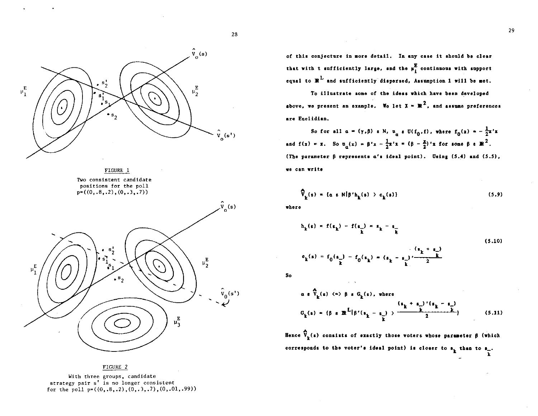

FIGURE 1 Two consistent candidate positions for the poll  $p=(0, .8, .2), (0, .3, .7))$ 

 $\mu_1^{\rm E}$ 



FIGURE 2

With three groups, candidate strategy pair s' is no longer consistent for the poll  $p=((0,.8,.2), (0,.3,.7), (0,.01,.99))$ 

of this conjecture in more detail. In any case it should be clear that with t sufficiently large, and the  $\mu_{\rm i}^{\rm E}$  continuous with support equal to  $\mathbb{R}^L$  and sufficiently dispersed, Assumption 1 will be met.

To illustrate some of the ideas which have been developed above, we present an example. We let  $X = \mathbb{R}^2$ , and assume preferences are Euclidian.

So for all  $\alpha = (\gamma, \beta)$  a N,  $\mu_{\alpha}$  a U(f<sub>0</sub>, f), where  $f_0(x) = -\frac{1}{2}x^2$ and  $f(x) = x$ . So  $\alpha_{\alpha}(x) = \beta' x - \frac{1}{2}x' x = (\beta - \frac{x}{2})' x$  for some  $\beta \in \mathbb{R}^2$ . (The parameter  $\beta$  represents  $a'$ s ideal point). Using (5.4) and (5.5), we can write

$$
\widehat{V}_{k}(s) = \{a \in N | \beta' h_{k}(s) \geq c_{k}(s) \}
$$
\n(5.9)

where

28

 $\hat{v}_0(s^{\dagger})$ 

$$
h_{\mathbf{k}}(\mathbf{s}) = f(s_{\mathbf{k}}) - f(s_{\mathbf{k}}) = s_{\mathbf{k}} - s_{\mathbf{k}}
$$
\n(5.10)\n
$$
g_{\mathbf{k}}(s) = f_{0}(s_{\mathbf{k}}) - f_{0}(s_{\mathbf{k}}) = (s_{\mathbf{k}} - s_{\mathbf{k}}) \frac{(s_{\mathbf{k}} + s_{\mathbf{k}})}{s_{\mathbf{k}}}
$$

So

$$
a \in \widehat{V}_k(s) \iff \beta \in G_k(s), \text{ where}
$$
  

$$
G_k(s) = (\beta \in \mathbb{R}^L | \beta'(s_k - s)) > \frac{(s_k + s_k)'(s_k - s_k)}{2}
$$
(5.11)

Hence  $\widehat{V}_{k}(s)$  consists of exactly those voters whose parameter  $\beta$  (which corresponds to the voter's ideal point) is closer to  $a_k$  than to  $a_-$ .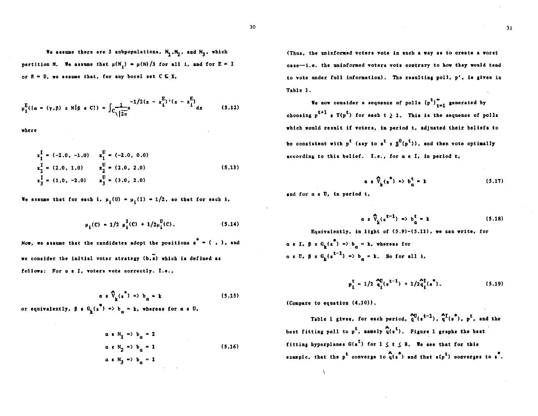30

We assume there are 3 andpopulations,  $N_1, N_2$ , and  $N_3$ , which partition N. We assume that  $\mu(N_1) = \mu(N)/3$  for all i, and for E = I or  $E = U$ , we assume that, for any borel set  $C \subseteq X$ ,

$$
\mu_{i}^{E}(\{a = (\gamma, \beta) \text{ s N} | \beta \text{ s C}\}) = \int_{C} \frac{-1/2(x - x_{i}^{E})'(x - x_{i}^{E})}{\sqrt{2\pi}} dx
$$
 (5.12)

where

$$
x_1^{\text{I}} = (-2.0, -1.0) \qquad x_1^{\text{U}} = (-2.0, 0.0)
$$
  
\n
$$
x_2^{\text{I}} = (2.0, 1.0) \qquad x_2^{\text{U}} = (2.0, 2.0)
$$
  
\n
$$
x_3^{\text{I}} = (1.0, -2.0) \qquad x_3^{\text{U}} = (3.0, 2.0)
$$
  
\n(5.13)

We assume that for each i,  $\mu_i(U) = \mu_i(I) = 1/2$ , so that for each i,

$$
\mu_{\mathbf{i}}(C) = 1/2 \mu_{\mathbf{i}}^{T}(C) + 1/2\mu_{\mathbf{i}}^{U}(C). \qquad (5.14)
$$

Now, we assume that the candidates adopt the positions  $s^* = ( , )$ , and we consider the initial voter strategy (b,s) which is defined as follows: For a & I, voters vote correctly. I.e.,

$$
\alpha \cdot \hat{V}_{k}(s^{2}) \Rightarrow b_{\alpha} = k \tag{5.15}
$$

or equivalently,  $\beta \in G_k(s^0) \Rightarrow b_n = k$ , whereas for  $a \in U$ ,

$$
a \in N_1 \Rightarrow b_{\alpha} = 2
$$
  
\n
$$
a \in N_2 \Rightarrow b_{\alpha} = 1
$$
  
\n
$$
a \in N_3 \Rightarrow b_{\alpha} = 1
$$
  
\n(5.16)

(Thus, the uninformed voters vote in such a way as to oreate a worst case--i.e. the uninformed voters vote contrary to how they would tend to vote under full information). The resulting poll, p', is given in Table 1.

We now consider a sequence of polls  $(p^t)_{t=1}^{\infty}$  generated by choosing  $p^{t+1}$  s  $T(p^t)$  for each  $t \ge 1$ . This is the sequence of polls which would result if voters, in period t, adjusted their beliefs to be consistent with  $p^t$  (say to  $p^t \in S^0(p^t)$ ), and then vote optimally according to this belief. I.e., for a e I, in period t,

$$
a \cdot \widehat{V}_k(s^*) \Rightarrow b^t_a = k \tag{5.17}
$$

and for a s U, in period t.

$$
a \ e \ \hat{V}_k(s^{t-1}) \ \Rightarrow \ b^t_\alpha = k \tag{5.18}
$$

Equivalently, in light of  $(5.9)-(5.11)$ , we can write, for  $\alpha$  s I,  $\beta$  s G<sub>1</sub>(s<sup>4</sup>) => b<sub>n</sub> = k, whereas for  $a \in \mathbb{U}$ ,  $\beta \in G_{L}(e^{t-1}) \Rightarrow b_{n} = k$ . So for all i,

$$
p_{\mathbf{i}}^{\mathbf{t}} = 1/2 \frac{\mathbf{A}_{\mathbf{ij}}^{\mathbf{t}}(\mathbf{s}^{\mathbf{t}-1}) + 1/2 \mathbf{A}_{\mathbf{i}}^{\mathbf{t}}(\mathbf{s}^{\mathbf{s}}), \qquad (5.19)
$$

(Compare to equation (4.10)).

Table 1 gives, for each period,  $a^{(t-1)}$ ,  $a^{(t-1)}$ ,  $b^{(t-1)}$ ,  $b^{(t-1)}$  and the best fitting poll to  $p^t$ , namely  $q(s^t)$ . Figure 1 graphs the best fitting hyperplanes  $G(s^t)$  for  $1 \le t \le 8$ . We see that for this example, that the p<sup>t</sup> converge to  $\mathfrak{q}(\mathbf{s}^*)$  and that  $\mathfrak{s}(\mathbf{p}^t)$  converges to  $\mathbf{s}^*$ .

 $31$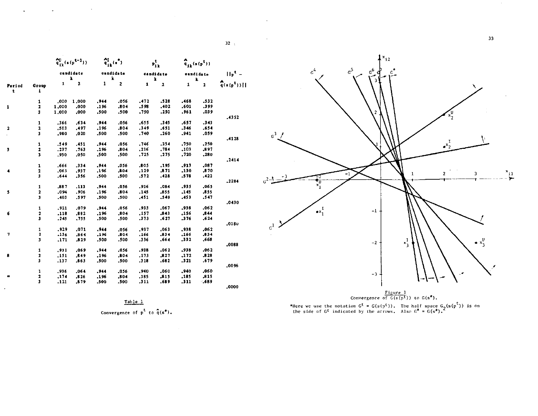



\*Here we use the notation  $G^t = G(s(p^t))$ . The half space  $G_2(s(p^t))$  is on the side of  $G^t$  indicated by the arrows. Also  $G^* = G(s^*)$ .

Table<sub>1</sub>

 $\frac{20}{81}$ (s(p<sup>t-1</sup>))

candidate

 $\mathbf{E}$ 

 $.0001.000$ 

 $.000$ 

 $.000$ 

.634

.497

,020

.451

.763

.050

.334

,937

.356

 $.113$ 

.906

.597

 $.079$ 

.882

 $.155$ 

.071

.864

,829

.069

.849

.863

 $.064$ 

 $.826$ 

.879

 $\mathbf{1}$  $\overline{\mathbf{2}}$ 

1,000

1,000

.366

,503

,980

.349

.237

.950

.666

 $,063$ 

.644

.887

.094

.403

,921

 $.116$ 

 $.245$ 

.929

 $.136$ 

 $, 171$ 

,931

 $.151$ 

 $.137$ 

.936

 $.174$ 

 $.121$ 

Period

 $\ddot{\phantom{1}}$ 

1

 $\overline{\mathbf{2}}$ 

d,

 $\overline{\mathbf{S}}$ 

6

 $\overline{7}$ 

Group  $\pmb{1}$ 

 $\mathbf{1}$ 

 $\mathbf{r}$ 

 $\mathbf{3}$ 

 $\pmb{1}$ 

 $\mathbf{2}$ 

 $\mathbf 3$ 

 $\mathbf{1}$ 

 $\overline{\mathbf{z}}$ 

 $\mathbf 3$ 

 $\mathbf 1$ 

 $\mathbf{2}$ 

 $\overline{\mathbf{3}}$ 

 $\mathbf{1}$ 

 $\overline{\mathbf{r}}$  $\overline{\mathbf{3}}$ 

 $\mathbf 1$ 

 $\overline{\mathbf{r}}$ 

 $\pmb{\mathsf{3}}$ 

 $\mathbf 1$ 

 $\mathbf{2}$ 

 $\overline{\mathbf{3}}$ 

 $\mathbf 1$ 

 $\overline{\mathbf{2}}$ 

 $\mathbf{a}$ 

 $\mathbf 1$ 

 $\bf 2$ 

 $\overline{\mathbf{3}}$ 

 $\hat{\mathfrak{q}}_{1k}^{\mathrm{I}}(\cdot)$ 

candidate

k

.056

.804

.500

.056

.804

,500

.056

.804

,500

 $.056$ 

.804

.500

.056

 $.804$ 

,500

,056

,804

 $.500$ 

.056

 $.804$ 

.500

,056

,804

.500

.056

.804

 $.500$ 

 $\mathbf{1}$  $\overline{2}$ 

 $.944$ 

.196

,500

.944

.196

.500

 $.944$ 

.196

,500

.944

 $.196$ 

,500

,944

.196

.500

 $.944$ 

.196

.500

.944

.196

.500

,944

 $.196$ 

.500

,944

 $.196$ 

.500

Convergence of  $p^L$  to  $\hat{q}(s^{\star})$ .

 $32<sub>1</sub>$ 

 $H_{\rm P}^{\rm t}$  –

.4352

.4128

 $.2414$ 

 $,2284$ 

.0430

 $.0180$ 

,0088

.0096

 $.0000$ 

 $\begin{array}{c} \mathbf{A} \\ \mathbf{q}_{ik}(\mathbf{s}(\mathbf{p}^{\mathbf{t}})) \end{array}$ 

candidate

 $\mathbf 2$ 

 $.532$ 

 $.399$ 

 $.039$ 

 $.343$ 

 $-654$ 

.059

,250

,897

 $, 280$ 

 $,087$ 

.870

 $.422$ 

.065

 $.855$ 

 $.547$ 

 $.062$ 

.844

 $.624$ 

 $.062$ 

.834

.668

 $.062$ 

 $,828$ 

.679

,060

 $.815$ 

.689

 $\mathbf{1}$ 

.468

 $.601$ 

.961

.657

 $.346$ 

 $.941$ 

.750

 $,103$ 

 $.720$ 

.913

.130

 $.578$ 

 $.935$ 

 $.145$ 

 $.453$ 

,936

.156

.376

.938

 $.166$ 

 $.332$ 

.938

 $,172$ 

 $.321$ 

.940

 $.185$ 

 $.311$ 

 $p_{ijk}^t$ 

candidate

k

 $\mathbf 2$ 

.528

 $,402$ 

.250

 $.345$ 

 $.651$ 

.260

,254

.784

 $.275$ 

,195

.871

 $.428$ 

.084

.855

.549

 $.067$ 

 $.843$ 

 $.627$ 

 $.063$ 

 $.834$ 

.664

 $.062$ 

 $, 827$ 

 $.682$ 

.060

,815

.689

 $\mathbf{1}$ 

.472

.598

.750

.655

 $.349$ 

.740

,746

 $.216$ 

-725

.805

 $.129$ 

 $.572$ 

.916

 $.145$ 

.451

-933

.157

.373

,937

.166

.336

.938

,173

.318

,940

.185

 $.311$ 

33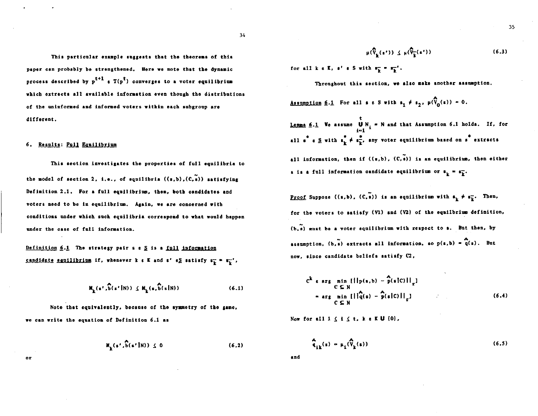This particular example suggests that the theorems of this paper can probably be strengthened. Here we note that the dynamic process described by  $p^{t+1}$  a  $T(p^t)$  converges to a voter equilibrium which extracts all available information even though the distributions of the uninformed and informed voters within each subgroup are different.

#### 6. Results: Full Equilibrium

**OF** 

This section investigates the properties of full equilibria to the model of section 2, i.e., of equilibria  $((s,b), (C, s))$  satisfying Definition 2.1. For a full equilibrium, then, both candidates and voters need to be in equilibrium. Again, we are concerned with conditions under which such equilibria correspond to what would happen under the case of full information.

Definition  $6.1$  The strategy pair s  $s \leq s$  is a full information candidate equilibrium if, whenever k a K and s'  $s_{\lambda}$  satisfy  $s_{\lambda} = s_{\lambda}^{-1}$ ,

$$
M_{\underline{k}}(s^{\dagger},\widehat{b}(s^{\dagger}|N)) \leq M_{\underline{k}}(s,\widehat{b}(s|N))
$$
 (6.1)

Note that equivalently, because of the symmetry of the game, we can write the equation of Definition 6.1 as

$$
M_{\mathbf{k}}(\mathbf{s}',\mathbf{\hat{b}}(\mathbf{s'}|N)) \leq 0 \tag{6.2}
$$

$$
\mu(\widehat{V}_{\underline{k}}(\epsilon')) \leq \mu(\widehat{V}_{\underline{k}}(\epsilon')) \tag{6.3}
$$

for all  $k \in K$ ,  $s' \in S$  with  $s_k^- = s_k^-$ .

Throughout this section, we also make another assumption.

Assumption 6.1 For all  $s \in S$  with  $s_1 \neq s_2$ ,  $\mu(\widehat{V}_0(s)) = 0$ .

<u>Lemma 6.1</u> We assume  $\bigcup_{i=1}^{L} N_i = N$  and that Assumption 6.1 holds. If, for all  $s^* s \leq \text{with } s_k^* \neq s_k^*$ , any voter equilibrium based on  $s^*$  extracts all information, then if  $((x, b), (C, a))$  is an equilibrium, then either s is a full information candidate equilibrium or  $s_k = s_k^-$ .

<u>Proof</u> Suppose  $((s,b), (C,\tilde{s}))$  is an equilibrium with  $s_k^+ \neq s_k^-$ . Then, for the voters to satisfy (V1) and (V2) of the equilbrium definition, (b,s) must be a voter equilibrium with respect to s. But then, by assumption,  $(b,\tilde{s})$  extracts all information, so  $p(s,b) = q(s)$ . But now, since candidate beliefs satisfy C2,

$$
C^{k} e arg min_{C \subseteq N} [||p(s,b) - \hat{p}(s|C)||_{T}]
$$
  
\n
$$
= arg min_{C \subseteq N} [||\hat{q}(s) - \hat{p}(s|C)||_{T}]
$$
 (6.4)

Now for all  $1 \leq i \leq t$ , k a KU  $\{0\}$ ,

$$
\widehat{\mathfrak{q}}_{ik}(s) = \mu_i(\widehat{\mathfrak{V}}_k(s)) \tag{6.5}
$$

and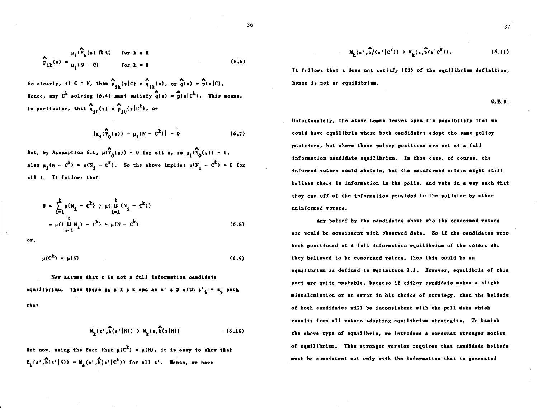$$
\sum_{\mathbf{P}_{i}}^{\mathbf{A}}(\mathbf{x}) = \mu_i(\mathbf{P}_k(s) \cap \mathbf{C}) \quad \text{for } k \in \mathbb{R}
$$
\n
$$
\sum_{\mathbf{P}_{i}}^{\mathbf{A}}(\mathbf{x}) = \mu_i(\mathbf{N} - \mathbf{C}) \quad \text{for } k = 0
$$
\n(6.6)

So clearly, if  $C = N$ , then  $\sum_{i=1}^{N} (s|C) = \begin{pmatrix} 1 \ 1 \ 1 \end{pmatrix}$ , or  $\widehat{q}(s) = \widehat{p}(s|C)$ . Hence, any  $C^k$  solving (6.4) must satisfy  $q(s) = \frac{A}{p(s)}C^k$ ). This means, in particular, that  $\hat{q}_{10}(s) = \hat{p}_{10}(s|c^k)$ , or

$$
|\mu_1(\hat{V}_0(s)) - \mu_1(N - c^k)| = 0
$$
 (6.7)

But, by Assumption 6.1,  $\mu(\widehat{V}_0(s)) = 0$  for all  $s$ , so  $\mu_1(\widehat{V}_0(s)) = 0$ . Also  $\mu_1(N - C^k) = \mu(N_i - C^k)$ . So the above implies  $\mu(N_i - C^k) = 0$  for all i. It follows that

$$
0 = \sum_{i=1}^{t} \mu(N_i - C^k) \ge \mu(\bigcup_{i=1}^{t} (N_i - C^k))
$$
  
=  $\mu((\bigcup_{i=1}^{t} N_i) - C^k) = \mu(N - C^k)$  (6.8)

or,

$$
\mu(\mathcal{C}^{\mathbf{k}}) = \mu(\mathcal{N}) \tag{6.9}
$$

Now assume that s is not a full information candidate equilibrium. Then there is a k  $\varepsilon$  K and an s'  $\varepsilon$  S with  $s'_{\frac{1}{k}} = s_{\frac{1}{k}}$  such that

$$
M_{\underline{k}}(\epsilon',\widehat{b}(\epsilon'|N)) \to M_{\underline{k}}(\epsilon,\widehat{b}(\epsilon|N))
$$
 (6.10)

But now, using the fact that  $\mu(C^k) = \mu(N)$ , it is easy to show that  $M_{L}(s', \overline{b}(s'|N)) = M_{L}(s', \overline{b}(s'|C^{k}))$  for all  $s'$ . Hence, we have

$$
M_{\mathbf{k}}(\mathbf{s}^{\dagger},\mathbf{\hat{b}}/(\mathbf{s}^{\dagger}|c^{\mathbf{k}})) \supset M_{\mathbf{k}}(\mathbf{s},\mathbf{\hat{b}}(\mathbf{s}|c^{\mathbf{k}})). \tag{6.11}
$$

It follows that s does not satisfy (C1) of the equilibrium definition, hence is not an equilibrium.

 $Q.E.D.$ 

Unfortunately, the above Lemma leaves open the possibility that we could have equilibria where both candidates adopt the same policy positions, but where these policy positions are not at a full information candidate equilibrium. In this case, of course, the informed voters would abstain, but the uninformed voters might still believe there is information in the polls, and vote in a way such that they cue off of the information provided to the pollster by other uninformed voters.

Any belief by the candidates about who the concerned voters are would be consistent with observed data. So if the candidates were both positioned at a full information equilibrium of the voters who they believed to be concerned voters, then this could be an equilibrium as defined in Definition 2.1. However, equilibria of this sort are quite unstable, because if either candidate makes a slight miscalculation or an error in his choice of strategy, then the beliefs of both candidates will be inconsistent with the poll data which results from all voters adopting equilibrium strategies. To banish the above type of equilibria, we introduce a somewhat atronger notion of equilibrium. This stronger version requires that candidate beliefs must be consistent not only with the information that is generated

37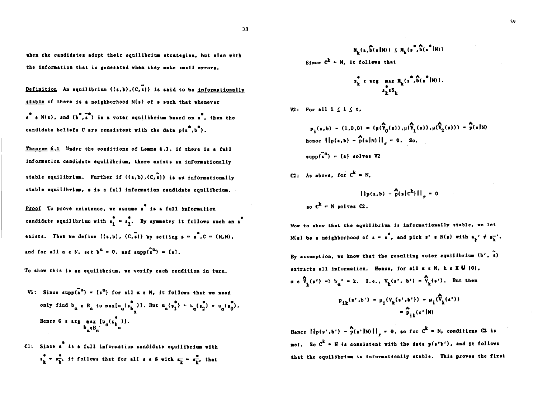38

when the candidates adopt their equilibrium strategies, but also with the information that is generated when they make small errors.

Definition An equilibrium  $((s,b),(C,s))$  is said to be informationally stable if there is a neighborhood N(s) of s such that whenever  $s^*$  e N(s), and  $(b^* , s^*)$  is a voter equilibrium based on  $s^*$ , then the candidate beliefs  $C$  are consistent with the data  $p(s^*, b^*)$ .

Theorem 6.1 Under the conditions of Lemma 6.1, if there is a full information candidate equilibrium, there exists an informationally stable equilibrium. Further if  $((s,b), (C,s))$  is an informationally stable equilibrium, s is a full information candidate equilibrium.

Proof To prove existence, we assume s is a full information candidate equilibrium with  $s_1^* = s_2^*$ . By symmetry it follows such an s<sup>\*</sup> exists. Then we define  $((s,b), (C,\tilde{s}))$  by setting  $s = s^*$ ,  $C = (N,N)$ , and for all  $a \in N$ , set  $b^a = 0$ , and supp $(\tilde{s}^a) = \{s\}$ .

To show this is an equilibrium, we verify each condition in turn.

- V1: Since supp(s<sup>a</sup>) = {s<sup>a</sup>} for all  $\alpha \in N$ , it follows that we need only find  $b_{\alpha} \in B_{\alpha}$  to  $max[n_{\alpha}(\begin{matrix} * & 1 \\ 0 & 1 \end{matrix})]$ . But  $u_{\alpha}(\begin{matrix} * & * \\ 1 & 1 \end{matrix}) = u_{\alpha}(\begin{matrix} * & * \\ 0 & 1 \end{matrix}) = u_{\alpha}(\begin{matrix} * & * \\ 0 & 1 \end{matrix})$ . Hence 0 s arg max  $[u_{\alpha}^{(\bullet)}]$ .<br> $b_{\alpha}B_{\alpha}^{(\bullet)}]$ .
- C1: Since s is a full information candidate equilibrium with  $s_k^* = s_k^*$ , it follows that for all  $s \in S$  with  $s_k^* = s_k^*$ , that

 $M_{\rm g}(x, \widehat{b}(x|N)) \leq M_{\rm g}(x^*, \widehat{b}(x^*|N))$ Since  $C^k = N$ , it follows that

$$
\begin{array}{cccccc}\n\mathbf{s}_k^* & \mathbf{s} & \mathbf{a}\mathbf{r}\mathbf{g} & \mathbf{m}\mathbf{a}\mathbf{x} & \mathbf{M}_k(\mathbf{s}^*, \mathbf{\widehat{b}}(\mathbf{s}^*\mathbf{I}\mathbf{N})),\\
\mathbf{s}_k^*\mathbf{s}\mathbf{S}_k\n\end{array}
$$

V2: For all  $1 \leq i \leq t$ .

$$
p_1(s,b) = (1,0,0) = (\mu(\hat{V}_0(s)), \mu(\hat{V}_1(s)), \mu(\hat{V}_2(s))) = \hat{p}(s|N)
$$
  
hence  $||p(s,b) - \hat{p}(s|N)||_F = 0$ . So,

 $\text{supp}(\tilde{s}^a) = \{a\}$  solves V2

C2: As above, for  $C^k = N$ .

$$
|\{p(s,b) - \hat{p}(s|c^k)\}|\_r = 0
$$
so  $c^k \in N$  solves C2.

Now to show that the equilibrium is informationally stable, we let N(s) be a neighborhood of  $s = s^*$ , and pick s' s N(s) with  $s_{\mathbf{k}}' \neq s_{\mathbf{k}}^{-1}$ . By assumption, we know that the resulting voter equilibrium  $(b', \tilde{s})$ extracts all information. Hence, for all  $a \in N$ , k  $\epsilon \in U$  (0),  $\alpha \in \widehat{V}_{\mathbf{L}}(\mathbf{s}') = \delta_{\mathbf{L}}' = \mathbf{k}$ . I.o.,  $V_{\mathbf{L}}(\mathbf{s}', \mathbf{b}') = \widehat{V}_{\mathbf{L}}(\mathbf{s}')$ . But then  $p_{j,k}(s',b') = \mu_j(V_k(s',b')) = \mu_j(\hat{V}_k(s'))$  $=\sum_{k=1}^{N}$  (s'IN)

Hence  $\left\{\left\|p(s',b') - \hat{p}(s'\right)N\right\}\right\|_{\mathcal{I}} = 0$ , so for  $c^k = N$ , conditions  $\Omega$  is net. So  $C^k$  = N is consistent with the data  $p(s^*b^t)$ , and it follows that the equilibrium is informationlly stable. This proves the first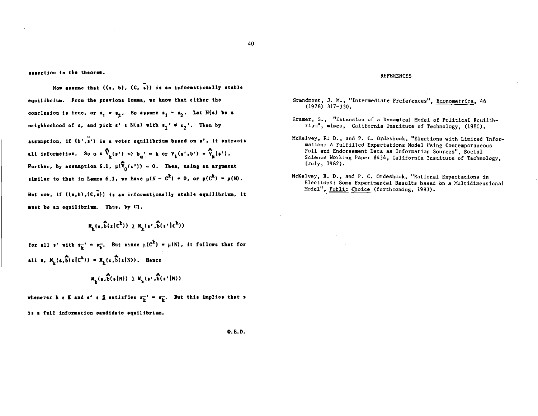assertion in the theorem.

Now assume that  $((s, b), (C, s))$  is an informationally stable equilibrium. From the previous lemma, we know that either the conclusion is true, or  $s_1 = s_2$ . So assume  $s_1 = s_2$ . Let N(s) be a neighborhood of s, and pick s'  $\varepsilon$  N(s) with  $s_1 \prime \neq s_2'$ . Then by

assumption, if (b',s') is a voter equilibrium based on s', it extracts all information. So  $a \in \widehat{V}_k(s') = b_n' = k$  or  $V_k(s', b') = \widehat{V}_k(s')$ . Further, by assumption 6.1,  $\mu(\hat{\nabla}_{0}(s')) = 0$ . Then, using an argument similar to that in Lemma 6.1, we have  $\mu(N - C^k) = 0$ , or  $\mu(C^k) = \mu(N)$ .

But now, if  $((s,b), (C,\tilde{s}))$  is an informationally stable equilibrium, it must be an equilibrium. Thus, by C1,

 $M_{1}(s,\hat{b}(s|c^{k})) \geq M_{1}(s',\hat{b}(s'|c^{k}))$ 

for all s' with  $s_{\overline{k}}^* = s_{\overline{k}}$ . But since  $\mu(c^k) = \mu(N)$ , it follows that for all s,  $M_{L}(s, \hat{b}(s|C^{k})) = M_{L}(s, \hat{b}(s|N))$ . Hence

$$
\mathtt{M}_k(\mathfrak{s},\widehat{b}(\mathfrak{s}{1}N))\geq \mathtt{M}_k(\mathfrak{s}^+,\widehat{b}(\mathfrak{s}^+|N))
$$

whenever k  $\varepsilon$  K and s'  $\varepsilon \leq$  satisfies  $s_{\overline{k}}^{-1} = s_{\overline{k}}^{-1}$ . But this implies that s is a full information candidate equilibrium.

#### **REFERENCES**

- Grandmont, J. M., "Intermediate Preferences", Econometrica, 46  $(1978)$  317-330.
- Kramer, G., "Extension of a Dynamical Model of Political Equilibrium", mimeo, California Institute of Technology, (1980).
- McKelvey, R. D., and P. C. Ordeshook, "Elections with Limited Information: A Fulfilled Expectations Model Using Contemporaneous Poll and Endorsement Data as Information Sources", Social Science Working Paper #434, California Institute of Technology, (July, 1982).
- McKelvey, R. D., and P. C. Ordeshook, "Rational Expectations in Elections: Some Experimental Results based on a Multidimensional Model", Public Choice (forthcoming, 1983).

Q.E.D.